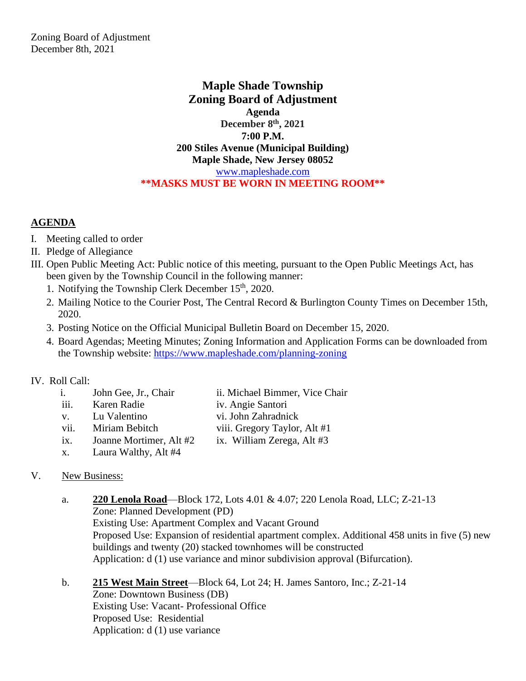Zoning Board of Adjustment December 8th, 2021

> **Maple Shade Township Zoning Board of Adjustment Agenda December 8th, 2021 7:00 P.M. 200 Stiles Avenue (Municipal Building) Maple Shade, New Jersey 08052** [www.mapleshade.com](http://www.mapleshade.com/) **\*\*MASKS MUST BE WORN IN MEETING ROOM\*\***

## **AGENDA**

- I. Meeting called to order
- II. Pledge of Allegiance
- III. Open Public Meeting Act: Public notice of this meeting, pursuant to the Open Public Meetings Act, has been given by the Township Council in the following manner:
	- 1. Notifying the Township Clerk December 15<sup>th</sup>, 2020.
	- 2. Mailing Notice to the Courier Post, The Central Record & Burlington County Times on December 15th, 2020.
	- 3. Posting Notice on the Official Municipal Bulletin Board on December 15, 2020.
	- 4. Board Agendas; Meeting Minutes; Zoning Information and Application Forms can be downloaded from the Township website:<https://www.mapleshade.com/planning-zoning>

## IV. Roll Call:

- i. John Gee, Jr., Chair ii. Michael Bimmer, Vice Chair iii. Karen Radie iv. Angie Santori v. Lu Valentino vi. John Zahradnick vii. Miriam Bebitch viii. Gregory Taylor, Alt #1
- ix. Joanne Mortimer, Alt #2 ix. William Zerega, Alt #3
- x. Laura Walthy, Alt #4
- 
- V. New Business:
	- a. **220 Lenola Road**—Block 172, Lots 4.01 & 4.07; 220 Lenola Road, LLC; Z-21-13 Zone: Planned Development (PD) Existing Use: Apartment Complex and Vacant Ground Proposed Use: Expansion of residential apartment complex. Additional 458 units in five (5) new buildings and twenty (20) stacked townhomes will be constructed Application: d (1) use variance and minor subdivision approval (Bifurcation).

b. **215 West Main Street**—Block 64, Lot 24; H. James Santoro, Inc.; Z-21-14 Zone: Downtown Business (DB) Existing Use: Vacant- Professional Office Proposed Use: Residential Application: d (1) use variance